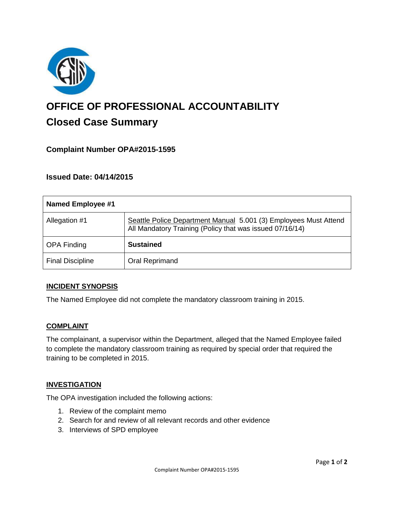

# **OFFICE OF PROFESSIONAL ACCOUNTABILITY Closed Case Summary**

# **Complaint Number OPA#2015-1595**

## **Issued Date: 04/14/2015**

| <b>Named Employee #1</b> |                                                                                                                              |
|--------------------------|------------------------------------------------------------------------------------------------------------------------------|
| Allegation #1            | Seattle Police Department Manual 5.001 (3) Employees Must Attend<br>All Mandatory Training (Policy that was issued 07/16/14) |
| <b>OPA Finding</b>       | <b>Sustained</b>                                                                                                             |
| <b>Final Discipline</b>  | Oral Reprimand                                                                                                               |

#### **INCIDENT SYNOPSIS**

The Named Employee did not complete the mandatory classroom training in 2015.

#### **COMPLAINT**

The complainant, a supervisor within the Department, alleged that the Named Employee failed to complete the mandatory classroom training as required by special order that required the training to be completed in 2015.

#### **INVESTIGATION**

The OPA investigation included the following actions:

- 1. Review of the complaint memo
- 2. Search for and review of all relevant records and other evidence
- 3. Interviews of SPD employee